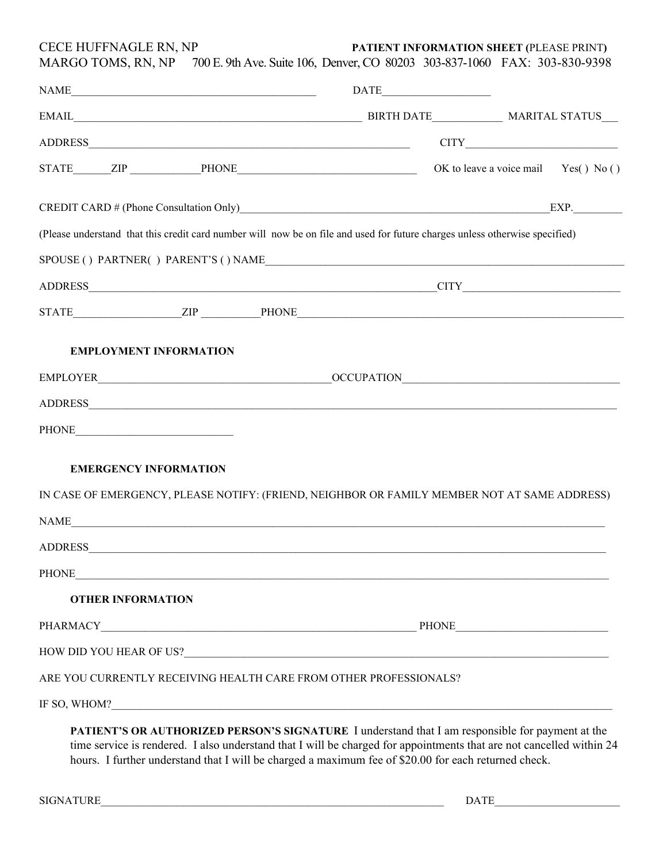CECE HUFFNAGLE RN, NP **PATIENT INFORMATION SHEET (**PLEASE PRINT**)** 

|                                                                                                                             | $\begin{minipage}{.4\linewidth} \textbf{NAME}\footnotesize{\textcolor{blue}{.}}\hspace{10pt}\textbf{DATE}\footnotesize{\textcolor{blue}{.}}\hspace{10pt}\textbf{DATE}\footnotesize{\textcolor{blue}{.}}\hspace{10pt}\textbf{DATE}\footnotesize{\textcolor{blue}{.}}\hspace{10pt}\textbf{DATE}\footnotesize{\textcolor{blue}{.}}\hspace{10pt}\textbf{DATE}\footnotesize{\textcolor{blue}{.}}\hspace{10pt}\textbf{DATE}\footnotesize{\textcolor{blue}{.}}\hspace{10pt}\textbf{DATE}\footnotesize{\textcolor{blue}{.}}\hspace{10pt}\textbf{DATE}\footnotes$ | MARGO TOMS, RN, NP 700 E. 9th Ave. Suite 106, Denver, CO 80203 303-837-1060 FAX: 303-830-9398 |
|-----------------------------------------------------------------------------------------------------------------------------|----------------------------------------------------------------------------------------------------------------------------------------------------------------------------------------------------------------------------------------------------------------------------------------------------------------------------------------------------------------------------------------------------------------------------------------------------------------------------------------------------------------------------------------------------------|-----------------------------------------------------------------------------------------------|
|                                                                                                                             |                                                                                                                                                                                                                                                                                                                                                                                                                                                                                                                                                          |                                                                                               |
|                                                                                                                             |                                                                                                                                                                                                                                                                                                                                                                                                                                                                                                                                                          |                                                                                               |
| STATE ZIP PHONE PHONE OK to leave a voice mail Yes() No()                                                                   |                                                                                                                                                                                                                                                                                                                                                                                                                                                                                                                                                          |                                                                                               |
| CREDIT CARD # (Phone Consultation Only) EXP.                                                                                |                                                                                                                                                                                                                                                                                                                                                                                                                                                                                                                                                          |                                                                                               |
| (Please understand that this credit card number will now be on file and used for future charges unless otherwise specified) |                                                                                                                                                                                                                                                                                                                                                                                                                                                                                                                                                          |                                                                                               |
| ${\tt SPOUSE}$ ( ) ${\tt PARTNER}$ ( ) ${\tt PARENT'S}$ ( ) ${\tt NAME}$                                                    |                                                                                                                                                                                                                                                                                                                                                                                                                                                                                                                                                          |                                                                                               |
|                                                                                                                             |                                                                                                                                                                                                                                                                                                                                                                                                                                                                                                                                                          |                                                                                               |
|                                                                                                                             |                                                                                                                                                                                                                                                                                                                                                                                                                                                                                                                                                          |                                                                                               |
|                                                                                                                             |                                                                                                                                                                                                                                                                                                                                                                                                                                                                                                                                                          |                                                                                               |
| <b>EMPLOYMENT INFORMATION</b>                                                                                               |                                                                                                                                                                                                                                                                                                                                                                                                                                                                                                                                                          |                                                                                               |
|                                                                                                                             |                                                                                                                                                                                                                                                                                                                                                                                                                                                                                                                                                          |                                                                                               |
|                                                                                                                             |                                                                                                                                                                                                                                                                                                                                                                                                                                                                                                                                                          |                                                                                               |
|                                                                                                                             |                                                                                                                                                                                                                                                                                                                                                                                                                                                                                                                                                          |                                                                                               |
|                                                                                                                             |                                                                                                                                                                                                                                                                                                                                                                                                                                                                                                                                                          |                                                                                               |
| <b>EMERGENCY INFORMATION</b>                                                                                                |                                                                                                                                                                                                                                                                                                                                                                                                                                                                                                                                                          |                                                                                               |
| IN CASE OF EMERGENCY, PLEASE NOTIFY: (FRIEND, NEIGHBOR OR FAMILY MEMBER NOT AT SAME ADDRESS)                                |                                                                                                                                                                                                                                                                                                                                                                                                                                                                                                                                                          |                                                                                               |
|                                                                                                                             |                                                                                                                                                                                                                                                                                                                                                                                                                                                                                                                                                          |                                                                                               |
|                                                                                                                             |                                                                                                                                                                                                                                                                                                                                                                                                                                                                                                                                                          |                                                                                               |
|                                                                                                                             |                                                                                                                                                                                                                                                                                                                                                                                                                                                                                                                                                          |                                                                                               |
| <b>OTHER INFORMATION</b>                                                                                                    |                                                                                                                                                                                                                                                                                                                                                                                                                                                                                                                                                          |                                                                                               |
|                                                                                                                             |                                                                                                                                                                                                                                                                                                                                                                                                                                                                                                                                                          |                                                                                               |
|                                                                                                                             |                                                                                                                                                                                                                                                                                                                                                                                                                                                                                                                                                          |                                                                                               |
|                                                                                                                             |                                                                                                                                                                                                                                                                                                                                                                                                                                                                                                                                                          |                                                                                               |
| ARE YOU CURRENTLY RECEIVING HEALTH CARE FROM OTHER PROFESSIONALS?                                                           |                                                                                                                                                                                                                                                                                                                                                                                                                                                                                                                                                          |                                                                                               |

hours. I further understand that I will be charged a maximum fee of \$20.00 for each returned check.

SIGNATURE\_\_\_\_\_\_\_\_\_\_\_\_\_\_\_\_\_\_\_\_\_\_\_\_\_\_\_\_\_\_\_\_\_\_\_\_\_\_\_\_\_\_\_\_\_\_\_\_\_\_\_\_\_\_\_\_\_\_\_\_\_\_\_ DATE\_\_\_\_\_\_\_\_\_\_\_\_\_\_\_\_\_\_\_\_\_\_\_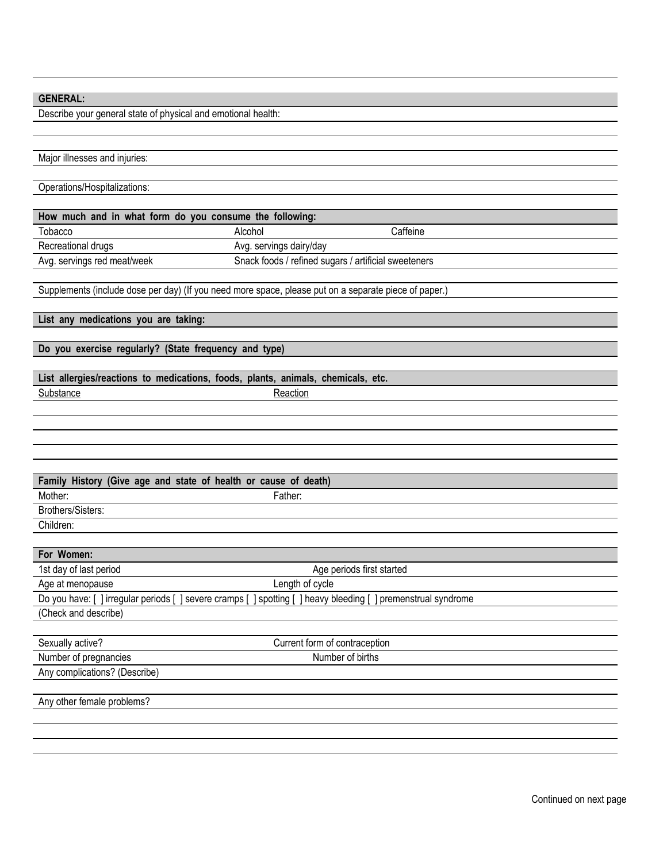## **GENERAL:**

Describe your general state of physical and emotional health:

| Major illnesses and injuries:                                                                                  |                                                      |          |
|----------------------------------------------------------------------------------------------------------------|------------------------------------------------------|----------|
|                                                                                                                |                                                      |          |
| Operations/Hospitalizations:                                                                                   |                                                      |          |
|                                                                                                                |                                                      |          |
| How much and in what form do you consume the following:                                                        |                                                      |          |
| Tobacco                                                                                                        | Alcohol                                              | Caffeine |
| Recreational drugs                                                                                             | Avg. servings dairy/day                              |          |
| Avg. servings red meat/week                                                                                    | Snack foods / refined sugars / artificial sweeteners |          |
|                                                                                                                |                                                      |          |
| Supplements (include dose per day) (If you need more space, please put on a separate piece of paper.)          |                                                      |          |
|                                                                                                                |                                                      |          |
| List any medications you are taking:                                                                           |                                                      |          |
|                                                                                                                |                                                      |          |
| Do you exercise regularly? (State frequency and type)                                                          |                                                      |          |
|                                                                                                                |                                                      |          |
| List allergies/reactions to medications, foods, plants, animals, chemicals, etc.                               |                                                      |          |
| Substance                                                                                                      | Reaction                                             |          |
|                                                                                                                |                                                      |          |
|                                                                                                                |                                                      |          |
|                                                                                                                |                                                      |          |
|                                                                                                                |                                                      |          |
|                                                                                                                |                                                      |          |
| Family History (Give age and state of health or cause of death)                                                |                                                      |          |
| Mother:                                                                                                        | Father:                                              |          |
| Brothers/Sisters:                                                                                              |                                                      |          |
| Children:                                                                                                      |                                                      |          |
|                                                                                                                |                                                      |          |
| For Women:                                                                                                     |                                                      |          |
| 1st day of last period                                                                                         | Age periods first started                            |          |
| Age at menopause                                                                                               | Length of cycle                                      |          |
| Do you have: [ ] irregular periods [ ] severe cramps [ ] spotting [ ] heavy bleeding [ ] premenstrual syndrome |                                                      |          |
| (Check and describe)                                                                                           |                                                      |          |
|                                                                                                                |                                                      |          |
| Sexually active?                                                                                               | Current form of contraception                        |          |
| Number of pregnancies                                                                                          | Number of births                                     |          |
| Any complications? (Describe)                                                                                  |                                                      |          |
|                                                                                                                |                                                      |          |
| Any other female problems?                                                                                     |                                                      |          |
|                                                                                                                |                                                      |          |
|                                                                                                                |                                                      |          |